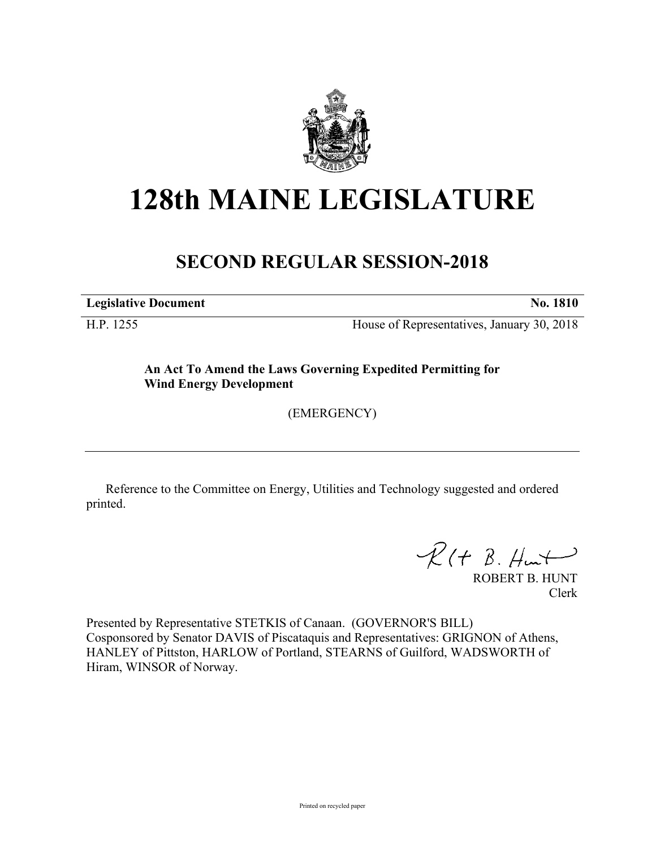

## **128th MAINE LEGISLATURE**

## **SECOND REGULAR SESSION-2018**

**Legislative Document No. 1810**

H.P. 1255 House of Representatives, January 30, 2018

**An Act To Amend the Laws Governing Expedited Permitting for Wind Energy Development**

(EMERGENCY)

Reference to the Committee on Energy, Utilities and Technology suggested and ordered printed.

 $R(H B. H<sub>un</sub>)$ 

ROBERT B. HUNT Clerk

Presented by Representative STETKIS of Canaan. (GOVERNOR'S BILL) Cosponsored by Senator DAVIS of Piscataquis and Representatives: GRIGNON of Athens, HANLEY of Pittston, HARLOW of Portland, STEARNS of Guilford, WADSWORTH of Hiram, WINSOR of Norway.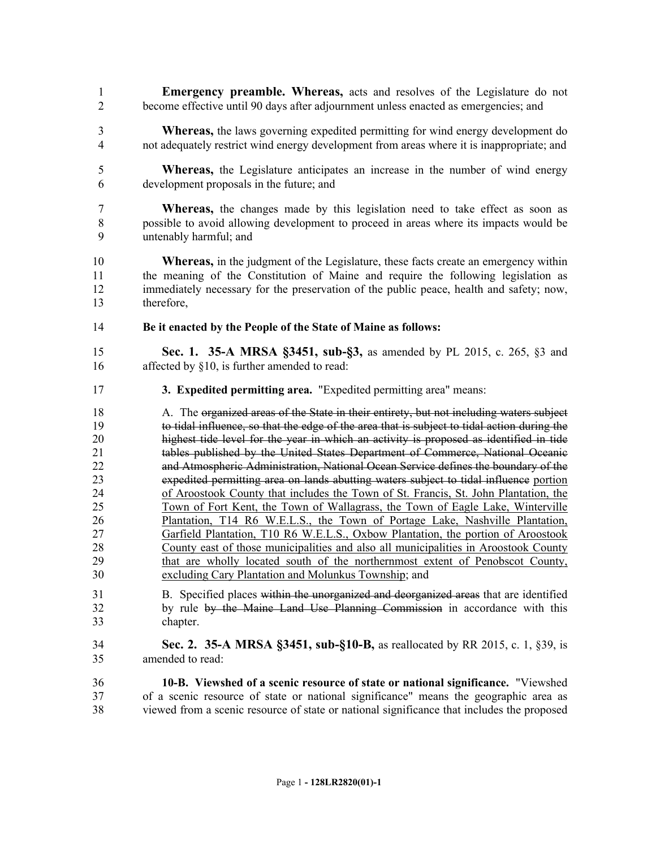- **Emergency preamble. Whereas,** acts and resolves of the Legislature do not become effective until 90 days after adjournment unless enacted as emergencies; and
- **Whereas,** the laws governing expedited permitting for wind energy development do not adequately restrict wind energy development from areas where it is inappropriate; and
- **Whereas,** the Legislature anticipates an increase in the number of wind energy development proposals in the future; and
- **Whereas,** the changes made by this legislation need to take effect as soon as possible to avoid allowing development to proceed in areas where its impacts would be untenably harmful; and
- **Whereas,** in the judgment of the Legislature, these facts create an emergency within the meaning of the Constitution of Maine and require the following legislation as immediately necessary for the preservation of the public peace, health and safety; now, therefore,
- **Be it enacted by the People of the State of Maine as follows:**
- **Sec. 1. 35-A MRSA §3451, sub-§3,** as amended by PL 2015, c. 265, §3 and affected by §10, is further amended to read:
- **3. Expedited permitting area.** "Expedited permitting area" means:
- 18 A. The organized areas of the State in their entirety, but not including waters subject to tidal influence, so that the edge of the area that is subject to tidal action during the highest tide level for the year in which an activity is proposed as identified in tide 21 tables published by the United States Department of Commerce, National Oceanic and Atmospheric Administration, National Ocean Service defines the boundary of the expedited permitting area on lands abutting waters subject to tidal influence portion of Aroostook County that includes the Town of St. Francis, St. John Plantation, the Town of Fort Kent, the Town of Wallagrass, the Town of Eagle Lake, Winterville Plantation, T14 R6 W.E.L.S., the Town of Portage Lake, Nashville Plantation, Garfield Plantation, T10 R6 W.E.L.S., Oxbow Plantation, the portion of Aroostook County east of those municipalities and also all municipalities in Aroostook County that are wholly located south of the northernmost extent of Penobscot County, excluding Cary Plantation and Molunkus Township; and
- B. Specified places within the unorganized and deorganized areas that are identified by rule by the Maine Land Use Planning Commission in accordance with this chapter.
- **Sec. 2. 35-A MRSA §3451, sub-§10-B,** as reallocated by RR 2015, c. 1, §39, is amended to read:
- **10-B. Viewshed of a scenic resource of state or national significance.** "Viewshed of a scenic resource of state or national significance" means the geographic area as viewed from a scenic resource of state or national significance that includes the proposed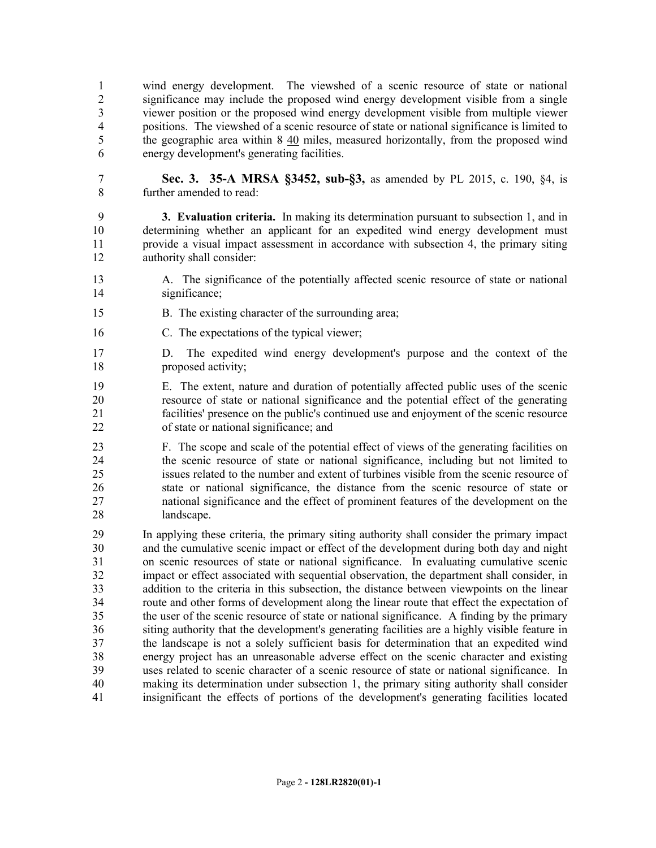wind energy development. The viewshed of a scenic resource of state or national 2 significance may include the proposed wind energy development visible from a single<br>3 viewer position or the proposed wind energy development visible from multiple viewer viewer position or the proposed wind energy development visible from multiple viewer positions. The viewshed of a scenic resource of state or national significance is limited to 5 the geographic area within 8 40 miles, measured horizontally, from the proposed wind energy development's generating facilities.

 **Sec. 3. 35-A MRSA §3452, sub-§3,** as amended by PL 2015, c. 190, §4, is further amended to read:

 **3. Evaluation criteria.** In making its determination pursuant to subsection 1, and in determining whether an applicant for an expedited wind energy development must provide a visual impact assessment in accordance with subsection 4, the primary siting authority shall consider:

- A. The significance of the potentially affected scenic resource of state or national significance;
- B. The existing character of the surrounding area;
- C. The expectations of the typical viewer;
- D. The expedited wind energy development's purpose and the context of the proposed activity;
- E. The extent, nature and duration of potentially affected public uses of the scenic resource of state or national significance and the potential effect of the generating facilities' presence on the public's continued use and enjoyment of the scenic resource of state or national significance; and
- F. The scope and scale of the potential effect of views of the generating facilities on the scenic resource of state or national significance, including but not limited to issues related to the number and extent of turbines visible from the scenic resource of state or national significance, the distance from the scenic resource of state or national significance and the effect of prominent features of the development on the landscape.
- In applying these criteria, the primary siting authority shall consider the primary impact and the cumulative scenic impact or effect of the development during both day and night on scenic resources of state or national significance. In evaluating cumulative scenic impact or effect associated with sequential observation, the department shall consider, in addition to the criteria in this subsection, the distance between viewpoints on the linear route and other forms of development along the linear route that effect the expectation of the user of the scenic resource of state or national significance. A finding by the primary siting authority that the development's generating facilities are a highly visible feature in the landscape is not a solely sufficient basis for determination that an expedited wind energy project has an unreasonable adverse effect on the scenic character and existing uses related to scenic character of a scenic resource of state or national significance. In making its determination under subsection 1, the primary siting authority shall consider insignificant the effects of portions of the development's generating facilities located